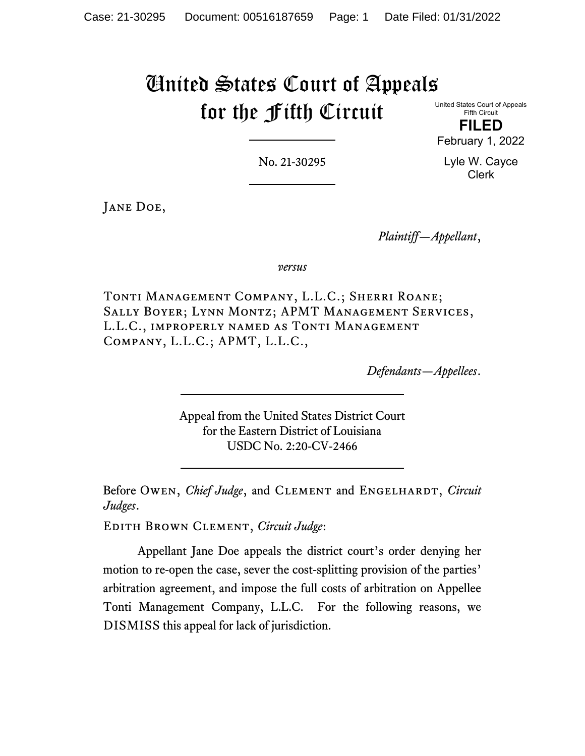# United States Court of Appeals for the Fifth Circuit

United States Court of Appeals Fifth Circuit

**FILED** February 1, 2022

No. 21-30295

Lyle W. Cayce Clerk

Jane Doe,

*Plaintiff—Appellant*,

*versus*

Tonti Management Company, L.L.C.; Sherri Roane; Sally Boyer; Lynn Montz; APMT Management Services, L.L.C., improperly named as Tonti Management Company, L.L.C.; APMT, L.L.C.,

*Defendants—Appellees*.

Appeal from the United States District Court for the Eastern District of Louisiana USDC No. 2:20-CV-2466

Before OWEN, *Chief Judge*, and CLEMENT and ENGELHARDT, *Circuit Judges*.

Edith Brown Clement, *Circuit Judge*:

Appellant Jane Doe appeals the district court's order denying her motion to re-open the case, sever the cost-splitting provision of the parties' arbitration agreement, and impose the full costs of arbitration on Appellee Tonti Management Company, L.L.C. For the following reasons, we DISMISS this appeal for lack of jurisdiction.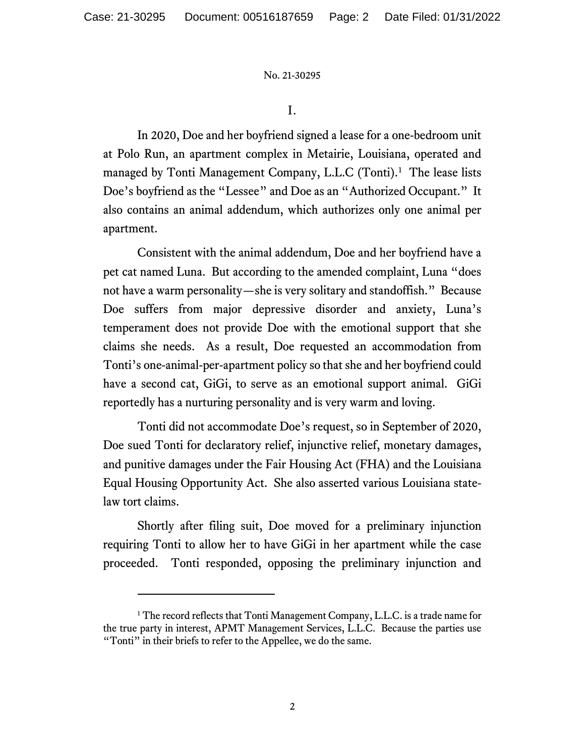I.

In 2020, Doe and her boyfriend signed a lease for a one-bedroom unit at Polo Run, an apartment complex in Metairie, Louisiana, operated and managed by Tonti Management Company, L.L.C (Tonti). [1](#page-1-0) The lease lists Doe's boyfriend as the "Lessee" and Doe as an "Authorized Occupant." It also contains an animal addendum, which authorizes only one animal per apartment.

Consistent with the animal addendum, Doe and her boyfriend have a pet cat named Luna. But according to the amended complaint, Luna "does not have a warm personality—she is very solitary and standoffish." Because Doe suffers from major depressive disorder and anxiety, Luna's temperament does not provide Doe with the emotional support that she claims she needs. As a result, Doe requested an accommodation from Tonti's one-animal-per-apartment policy so that she and her boyfriend could have a second cat, GiGi, to serve as an emotional support animal. GiGi reportedly has a nurturing personality and is very warm and loving.

Tonti did not accommodate Doe's request, so in September of 2020, Doe sued Tonti for declaratory relief, injunctive relief, monetary damages, and punitive damages under the Fair Housing Act (FHA) and the Louisiana Equal Housing Opportunity Act. She also asserted various Louisiana statelaw tort claims.

Shortly after filing suit, Doe moved for a preliminary injunction requiring Tonti to allow her to have GiGi in her apartment while the case proceeded. Tonti responded, opposing the preliminary injunction and

<span id="page-1-0"></span><sup>&</sup>lt;sup>1</sup> The record reflects that Tonti Management Company, L.L.C. is a trade name for the true party in interest, APMT Management Services, L.L.C. Because the parties use "Tonti" in their briefs to refer to the Appellee, we do the same.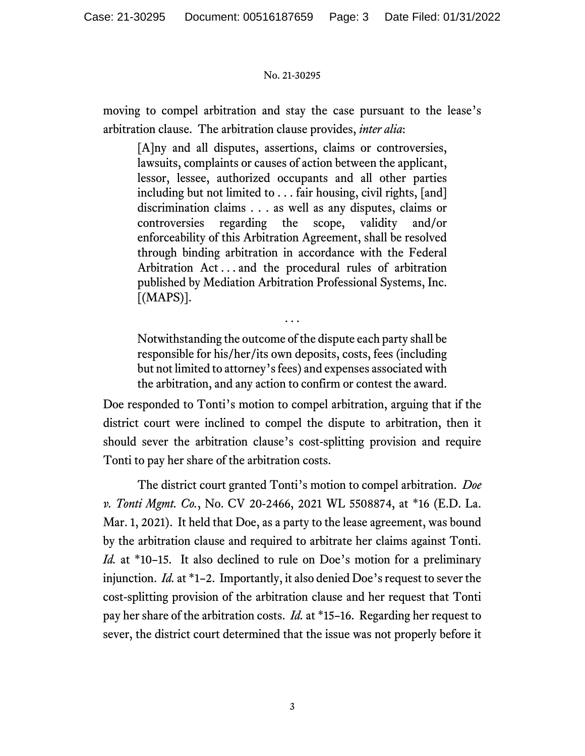moving to compel arbitration and stay the case pursuant to the lease's arbitration clause. The arbitration clause provides, *inter alia*:

[A]ny and all disputes, assertions, claims or controversies, lawsuits, complaints or causes of action between the applicant, lessor, lessee, authorized occupants and all other parties including but not limited to . . . fair housing, civil rights, [and] discrimination claims . . . as well as any disputes, claims or controversies regarding the scope, validity and/or enforceability of this Arbitration Agreement, shall be resolved through binding arbitration in accordance with the Federal Arbitration Act . . . and the procedural rules of arbitration published by Mediation Arbitration Professional Systems, Inc.  $[MAPS]$ .

Notwithstanding the outcome of the dispute each party shall be responsible for his/her/its own deposits, costs, fees (including but not limited to attorney's fees) and expenses associated with the arbitration, and any action to confirm or contest the award.

. . .

Doe responded to Tonti's motion to compel arbitration, arguing that if the district court were inclined to compel the dispute to arbitration, then it should sever the arbitration clause's cost-splitting provision and require Tonti to pay her share of the arbitration costs.

The district court granted Tonti's motion to compel arbitration. *Doe v. Tonti Mgmt. Co.*, No. CV 20-2466, 2021 WL 5508874, at \*16 (E.D. La. Mar. 1, 2021). It held that Doe, as a party to the lease agreement, was bound by the arbitration clause and required to arbitrate her claims against Tonti. *Id.* at \*10–15. It also declined to rule on Doe's motion for a preliminary injunction. *Id.* at \*1–2. Importantly, it also denied Doe's request to sever the cost-splitting provision of the arbitration clause and her request that Tonti pay her share of the arbitration costs. *Id.* at \*15–16.Regarding her request to sever, the district court determined that the issue was not properly before it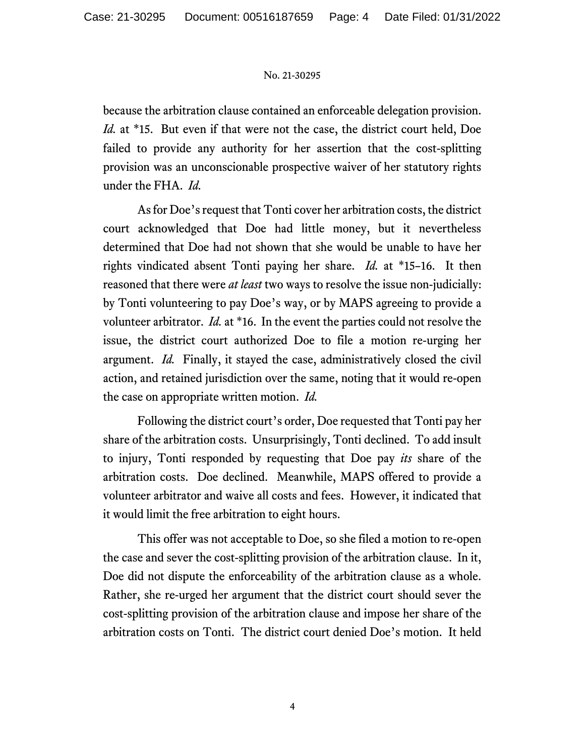because the arbitration clause contained an enforceable delegation provision. *Id.* at \*15. But even if that were not the case, the district court held, Doe failed to provide any authority for her assertion that the cost-splitting provision was an unconscionable prospective waiver of her statutory rights under the FHA. *Id.*

As for Doe's request that Tonti cover her arbitration costs, the district court acknowledged that Doe had little money, but it nevertheless determined that Doe had not shown that she would be unable to have her rights vindicated absent Tonti paying her share. *Id.* at \*15–16.It then reasoned that there were *at least* two ways to resolve the issue non-judicially: by Tonti volunteering to pay Doe's way, or by MAPS agreeing to provide a volunteer arbitrator. *Id.* at \*16. In the event the parties could not resolve the issue, the district court authorized Doe to file a motion re-urging her argument. *Id.*Finally, it stayed the case, administratively closed the civil action, and retained jurisdiction over the same, noting that it would re-open the case on appropriate written motion. *Id.*

Following the district court's order, Doe requested that Tonti pay her share of the arbitration costs. Unsurprisingly, Tonti declined. To add insult to injury, Tonti responded by requesting that Doe pay *its* share of the arbitration costs. Doe declined. Meanwhile, MAPS offered to provide a volunteer arbitrator and waive all costs and fees. However, it indicated that it would limit the free arbitration to eight hours.

This offer was not acceptable to Doe, so she filed a motion to re-open the case and sever the cost-splitting provision of the arbitration clause. In it, Doe did not dispute the enforceability of the arbitration clause as a whole. Rather, she re-urged her argument that the district court should sever the cost-splitting provision of the arbitration clause and impose her share of the arbitration costs on Tonti.The district court denied Doe's motion. It held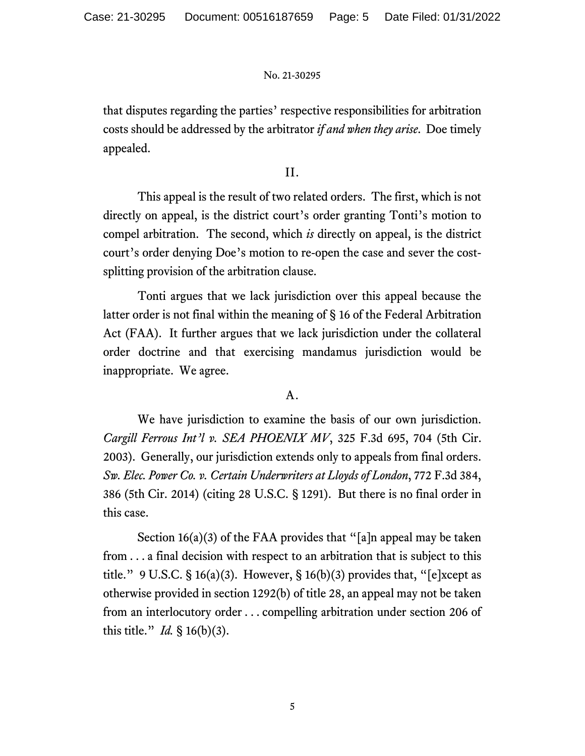that disputes regarding the parties' respective responsibilities for arbitration costs should be addressed by the arbitrator *if and when they arise*. Doe timely appealed.

II.

This appeal is the result of two related orders. The first, which is not directly on appeal, is the district court's order granting Tonti's motion to compel arbitration. The second, which *is* directly on appeal, is the district court's order denying Doe's motion to re-open the case and sever the costsplitting provision of the arbitration clause.

Tonti argues that we lack jurisdiction over this appeal because the latter order is not final within the meaning of § 16 of the Federal Arbitration Act (FAA). It further argues that we lack jurisdiction under the collateral order doctrine and that exercising mandamus jurisdiction would be inappropriate. We agree.

A.

We have jurisdiction to examine the basis of our own jurisdiction. *Cargill Ferrous Int'l v. SEA PHOENIX MV*, 325 F.3d 695, 704 (5th Cir. 2003). Generally, our jurisdiction extends only to appeals from final orders. *Sw. Elec. Power Co. v. Certain Underwriters at Lloyds of London*, 772 F.3d 384, 386 (5th Cir. 2014) (citing 28 U.S.C. § 1291). But there is no final order in this case.

Section  $16(a)(3)$  of the FAA provides that "[a]n appeal may be taken from . . . a final decision with respect to an arbitration that is subject to this title." 9 U.S.C. § 16(a)(3). However, § 16(b)(3) provides that, "[e]xcept as otherwise provided in section 1292(b) of title 28, an appeal may not be taken from an interlocutory order . . . compelling arbitration under section 206 of this title." *Id.* § 16(b)(3).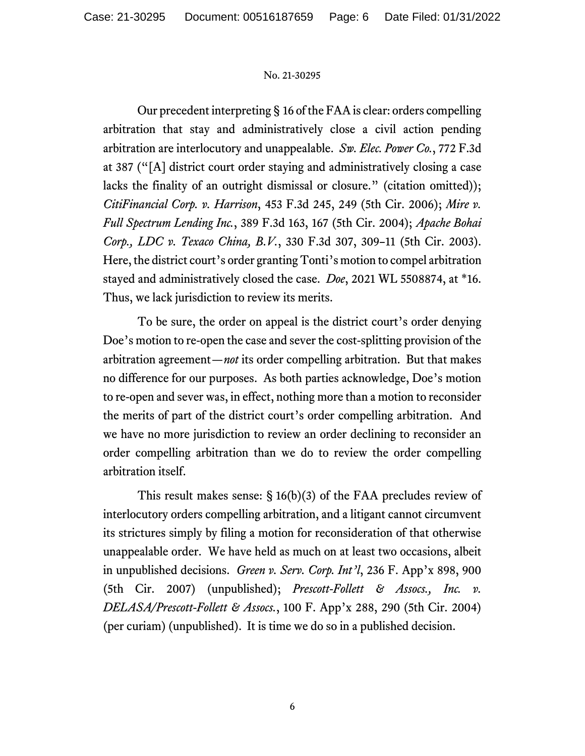Our precedent interpreting § 16 of the FAAis clear: orders compelling arbitration that stay and administratively close a civil action pending arbitration are interlocutory and unappealable. *Sw. Elec. Power Co.*, 772 F.3d at 387 ("[A] district court order staying and administratively closing a case lacks the finality of an outright dismissal or closure." (citation omitted)); *CitiFinancial Corp. v. Harrison*, 453 F.3d 245, 249 (5th Cir. 2006); *Mire v. Full Spectrum Lending Inc.*, 389 F.3d 163, 167 (5th Cir. 2004); *Apache Bohai Corp., LDC v. Texaco China, B.V.*, 330 F.3d 307, 309–11 (5th Cir. 2003). Here, the district court's order granting Tonti's motion to compel arbitration stayed and administratively closed the case. *Doe*, 2021 WL 5508874, at \*16. Thus, we lack jurisdiction to review its merits.

To be sure, the order on appeal is the district court's order denying Doe's motion to re-open the case and sever the cost-splitting provision of the arbitration agreement—*not* its order compelling arbitration. But that makes no difference for our purposes. As both parties acknowledge, Doe's motion to re-open and sever was, in effect, nothing more than a motion to reconsider the merits of part of the district court's order compelling arbitration. And we have no more jurisdiction to review an order declining to reconsider an order compelling arbitration than we do to review the order compelling arbitration itself.

This result makes sense: § 16(b)(3) of the FAA precludes review of interlocutory orders compelling arbitration, and a litigant cannot circumvent its strictures simply by filing a motion for reconsideration of that otherwise unappealable order. We have held as much on at least two occasions, albeit in unpublished decisions. *Green v. Serv. Corp. Int'l*, 236 F. App'x 898, 900 (5th Cir. 2007) (unpublished); *Prescott-Follett & Assocs., Inc. v. DELASA/Prescott-Follett & Assocs.*, 100 F. App'x 288, 290 (5th Cir. 2004) (per curiam) (unpublished). It is time we do so in a published decision.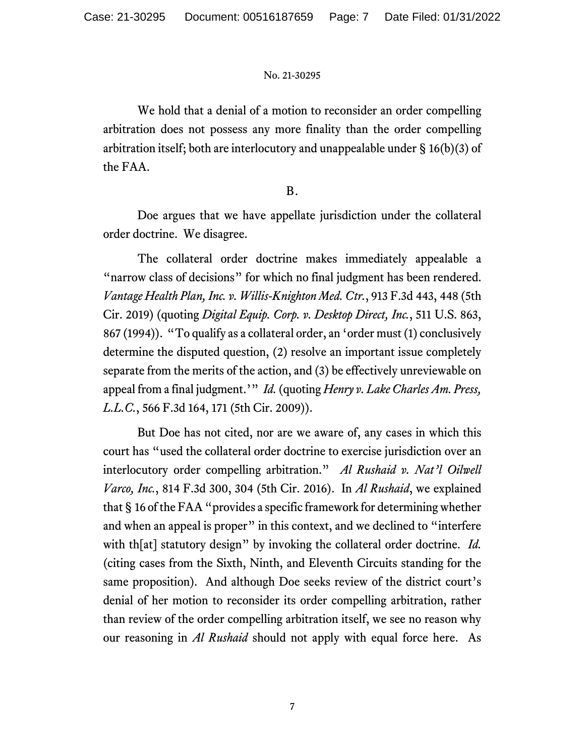We hold that a denial of a motion to reconsider an order compelling arbitration does not possess any more finality than the order compelling arbitration itself; both are interlocutory and unappealable under § 16(b)(3) of the FAA.

## B.

Doe argues that we have appellate jurisdiction under the collateral order doctrine. We disagree.

The collateral order doctrine makes immediately appealable a "narrow class of decisions" for which no final judgment has been rendered. *Vantage Health Plan, Inc. v. Willis-Knighton Med. Ctr.*, 913 F.3d 443, 448 (5th Cir. 2019) (quoting *Digital Equip. Corp. v. Desktop Direct, Inc.*, 511 U.S. 863, 867 (1994)). "To qualify as a collateral order, an 'order must (1) conclusively determine the disputed question, (2) resolve an important issue completely separate from the merits of the action, and (3) be effectively unreviewable on appeal from a final judgment.'" *Id.* (quoting *Henry v. Lake Charles Am. Press, L.L.C.*, 566 F.3d 164, 171 (5th Cir. 2009)).

But Doe has not cited, nor are we aware of, any cases in which this court has "used the collateral order doctrine to exercise jurisdiction over an interlocutory order compelling arbitration." *Al Rushaid v. Nat'l Oilwell Varco, Inc.*, 814 F.3d 300, 304 (5th Cir. 2016). In *Al Rushaid*, we explained that § 16 of the FAA "provides a specific framework for determining whether and when an appeal is proper" in this context, and we declined to "interfere with th[at] statutory design" by invoking the collateral order doctrine. *Id.* (citing cases from the Sixth, Ninth, and Eleventh Circuits standing for the same proposition). And although Doe seeks review of the district court's denial of her motion to reconsider its order compelling arbitration, rather than review of the order compelling arbitration itself, we see no reason why our reasoning in *Al Rushaid* should not apply with equal force here. As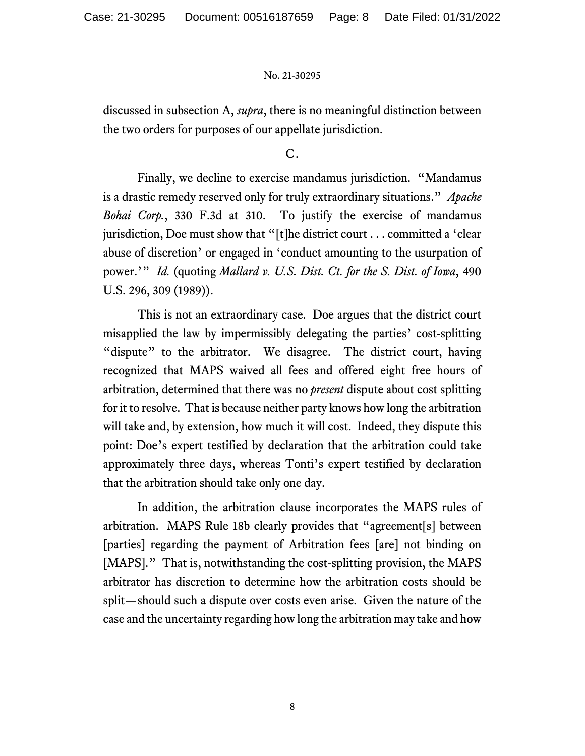discussed in subsection A, *supra*, there is no meaningful distinction between the two orders for purposes of our appellate jurisdiction.

C.

Finally, we decline to exercise mandamus jurisdiction. "Mandamus is a drastic remedy reserved only for truly extraordinary situations." *Apache Bohai Corp.*, 330 F.3d at 310. To justify the exercise of mandamus jurisdiction, Doe must show that "[t]he district court . . . committed a 'clear abuse of discretion' or engaged in 'conduct amounting to the usurpation of power.'" *Id.* (quoting *Mallard v. U.S. Dist. Ct. for the S. Dist. of Iowa*, 490 U.S. 296, 309 (1989)).

This is not an extraordinary case. Doe argues that the district court misapplied the law by impermissibly delegating the parties' cost-splitting "dispute" to the arbitrator. We disagree. The district court, having recognized that MAPS waived all fees and offered eight free hours of arbitration, determined that there was no *present* dispute about cost splitting for it to resolve. That is because neither party knows how long the arbitration will take and, by extension, how much it will cost. Indeed, they dispute this point: Doe's expert testified by declaration that the arbitration could take approximately three days, whereas Tonti's expert testified by declaration that the arbitration should take only one day.

In addition, the arbitration clause incorporates the MAPS rules of arbitration. MAPS Rule 18b clearly provides that "agreement[s] between [parties] regarding the payment of Arbitration fees [are] not binding on [MAPS]." That is, notwithstanding the cost-splitting provision, the MAPS arbitrator has discretion to determine how the arbitration costs should be split—should such a dispute over costs even arise. Given the nature of the case and the uncertainty regarding how long the arbitration may take and how